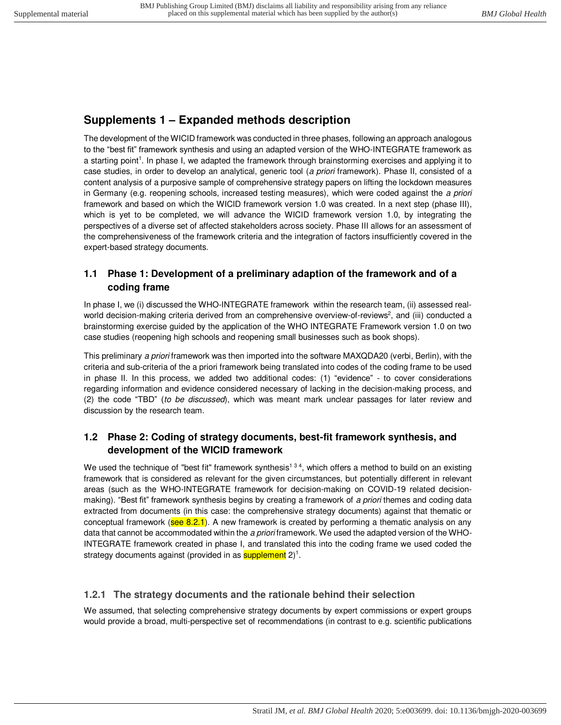# **Supplements 1 – Expanded methods description**

The development of the WICID framework was conducted in three phases, following an approach analogous to the "best fit" framework synthesis and using an adapted version of the WHO-INTEGRATE framework as a starting point<sup>1</sup>. In phase I, we adapted the framework through brainstorming exercises and applying it to case studies, in order to develop an analytical, generic tool (*a priori* framework). Phase II, consisted of a content analysis of a purposive sample of comprehensive strategy papers on lifting the lockdown measures in Germany (e.g. reopening schools, increased testing measures), which were coded against the *a priori* framework and based on which the WICID framework version 1.0 was created. In a next step (phase III), which is yet to be completed, we will advance the WICID framework version 1.0, by integrating the perspectives of a diverse set of affected stakeholders across society. Phase III allows for an assessment of the comprehensiveness of the framework criteria and the integration of factors insufficiently covered in the expert-based strategy documents.

## **1.1 Phase 1: Development of a preliminary adaption of the framework and of a coding frame**

In phase I, we (i) discussed the WHO-INTEGRATE framework within the research team, (ii) assessed realworld decision-making criteria derived from an comprehensive overview-of-reviews<sup>2</sup>, and (iii) conducted a brainstorming exercise guided by the application of the WHO INTEGRATE Framework version 1.0 on two case studies (reopening high schools and reopening small businesses such as book shops).

This preliminary *a priori* framework was then imported into the software MAXQDA20 (verbi, Berlin), with the criteria and sub-criteria of the a priori framework being translated into codes of the coding frame to be used in phase II. In this process, we added two additional codes: (1) "evidence" - to cover considerations regarding information and evidence considered necessary of lacking in the decision-making process, and (2) the code "TBD" (*to be discussed*), which was meant mark unclear passages for later review and discussion by the research team.

## **1.2 Phase 2: Coding of strategy documents, best-fit framework synthesis, and development of the WICID framework**

We used the technique of "best fit" framework synthesis<sup>134</sup>, which offers a method to build on an existing framework that is considered as relevant for the given circumstances, but potentially different in relevant areas (such as the WHO-INTEGRATE framework for decision-making on COVID-19 related decisionmaking). "Best fit" framework synthesis begins by creating a framework of *a priori* themes and coding data extracted from documents (in this case: the comprehensive strategy documents) against that thematic or conceptual framework (see 8.2.1). A new framework is created by performing a thematic analysis on any data that cannot be accommodated within the *a priori* framework. We used the adapted version of the WHO-INTEGRATE framework created in phase I, and translated this into the coding frame we used coded the strategy documents against (provided in as **supplement** 2)<sup>1</sup>.

# **1.2.1 The strategy documents and the rationale behind their selection**

We assumed, that selecting comprehensive strategy documents by expert commissions or expert groups would provide a broad, multi-perspective set of recommendations (in contrast to e.g. scientific publications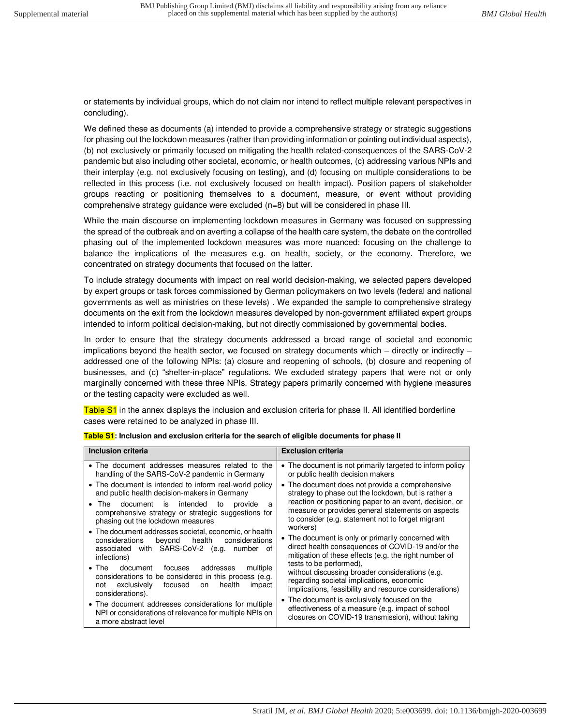or statements by individual groups, which do not claim nor intend to reflect multiple relevant perspectives in concluding).

We defined these as documents (a) intended to provide a comprehensive strategy or strategic suggestions for phasing out the lockdown measures (rather than providing information or pointing out individual aspects), (b) not exclusively or primarily focused on mitigating the health related-consequences of the SARS-CoV-2 pandemic but also including other societal, economic, or health outcomes, (c) addressing various NPIs and their interplay (e.g. not exclusively focusing on testing), and (d) focusing on multiple considerations to be reflected in this process (i.e. not exclusively focused on health impact). Position papers of stakeholder groups reacting or positioning themselves to a document, measure, or event without providing comprehensive strategy guidance were excluded (n=8) but will be considered in phase III.

While the main discourse on implementing lockdown measures in Germany was focused on suppressing the spread of the outbreak and on averting a collapse of the health care system, the debate on the controlled phasing out of the implemented lockdown measures was more nuanced: focusing on the challenge to balance the implications of the measures e.g. on health, society, or the economy. Therefore, we concentrated on strategy documents that focused on the latter.

To include strategy documents with impact on real world decision-making, we selected papers developed by expert groups or task forces commissioned by German policymakers on two levels (federal and national governments as well as ministries on these levels) . We expanded the sample to comprehensive strategy documents on the exit from the lockdown measures developed by non-government affiliated expert groups intended to inform political decision-making, but not directly commissioned by governmental bodies.

In order to ensure that the strategy documents addressed a broad range of societal and economic implications beyond the health sector, we focused on strategy documents which – directly or indirectly – addressed one of the following NPIs: (a) closure and reopening of schools, (b) closure and reopening of businesses, and (c) "shelter-in-place" regulations. We excluded strategy papers that were not or only marginally concerned with these three NPIs. Strategy papers primarily concerned with hygiene measures or the testing capacity were excluded as well.

Table S1 in the annex displays the inclusion and exclusion criteria for phase II. All identified borderline cases were retained to be analyzed in phase III.

| Inclusion criteria                                                                                                                                                                                    | <b>Exclusion criteria</b>                                                                                                                                                         |
|-------------------------------------------------------------------------------------------------------------------------------------------------------------------------------------------------------|-----------------------------------------------------------------------------------------------------------------------------------------------------------------------------------|
| • The document addresses measures related to the<br>handling of the SARS-CoV-2 pandemic in Germany                                                                                                    | • The document is not primarily targeted to inform policy<br>or public health decision makers                                                                                     |
| • The document is intended to inform real-world policy<br>and public health decision-makers in Germany                                                                                                | • The document does not provide a comprehensive<br>strategy to phase out the lockdown, but is rather a                                                                            |
| document is<br>intended<br>$\bullet$ The<br>to<br>provide<br>a<br>comprehensive strategy or strategic suggestions for<br>phasing out the lockdown measures                                            | reaction or positioning paper to an event, decision, or<br>measure or provides general statements on aspects<br>to consider (e.g. statement not to forget migrant<br>workers)     |
| • The document addresses societal, economic, or health<br>considerations<br>considerations<br>beyond<br>health<br>associated with SARS-CoV-2 (e.g.<br>number<br>0t<br>infections)                     | • The document is only or primarily concerned with<br>direct health consequences of COVID-19 and/or the<br>mitigation of these effects (e.g. the right number of                  |
| $\bullet$ The<br>multiple<br>addresses<br>document<br>focuses<br>considerations to be considered in this process (e.g.<br>focused<br>exclusively<br>health<br>impact<br>on<br>not<br>considerations). | tests to be performed).<br>without discussing broader considerations (e.g.<br>regarding societal implications, economic<br>implications, feasibility and resource considerations) |
| • The document addresses considerations for multiple<br>NPI or considerations of relevance for multiple NPIs on<br>a more abstract level                                                              | • The document is exclusively focused on the<br>effectiveness of a measure (e.g. impact of school<br>closures on COVID-19 transmission), without taking                           |

|  |  | Table S1: Inclusion and exclusion criteria for the search of eligible documents for phase II |
|--|--|----------------------------------------------------------------------------------------------|
|  |  |                                                                                              |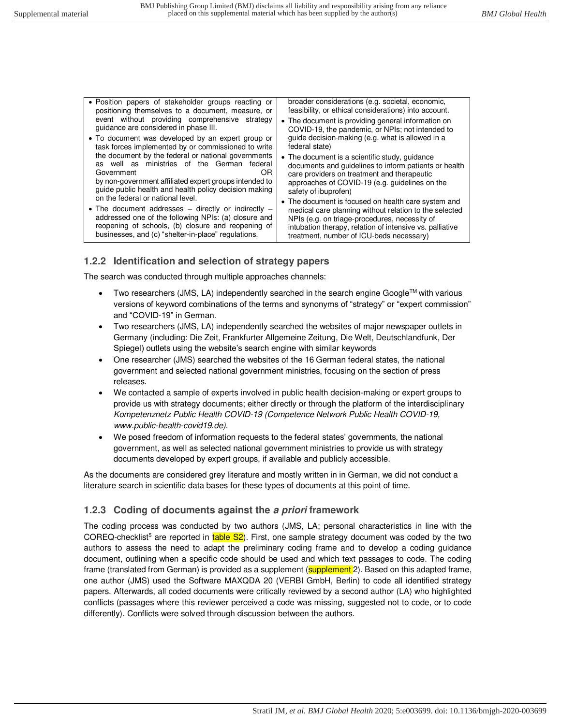#### **1.2.2 Identification and selection of strategy papers**

The search was conducted through multiple approaches channels:

- $\bullet$  Two researchers (JMS, LA) independently searched in the search engine Google<sup>TM</sup> with various versions of keyword combinations of the terms and synonyms of "strategy" or "expert commission" and "COVID-19" in German.
- Two researchers (JMS, LA) independently searched the websites of major newspaper outlets in Germany (including: Die Zeit, Frankfurter Allgemeine Zeitung, Die Welt, Deutschlandfunk, Der Spiegel) outlets using the website's search engine with similar keywords
- One researcher (JMS) searched the websites of the 16 German federal states, the national government and selected national government ministries, focusing on the section of press releases.
- We contacted a sample of experts involved in public health decision-making or expert groups to provide us with strategy documents; either directly or through the platform of the interdisciplinary *Kompetenznetz Public Health COVID-19 (Competence Network Public Health COVID-19, www.public-health-covid19.de)*.
- We posed freedom of information requests to the federal states' governments, the national government, as well as selected national government ministries to provide us with strategy documents developed by expert groups, if available and publicly accessible.

As the documents are considered grey literature and mostly written in in German, we did not conduct a literature search in scientific data bases for these types of documents at this point of time.

#### **1.2.3 Coding of documents against the** *a priori* **framework**

The coding process was conducted by two authors (JMS, LA; personal characteristics in line with the COREQ-checklist<sup>5</sup> are reported in table S2). First, one sample strategy document was coded by the two authors to assess the need to adapt the preliminary coding frame and to develop a coding guidance document, outlining when a specific code should be used and which text passages to code. The coding frame (translated from German) is provided as a supplement (supplement 2). Based on this adapted frame, one author (JMS) used the Software MAXQDA 20 (VERBI GmbH, Berlin) to code all identified strategy papers. Afterwards, all coded documents were critically reviewed by a second author (LA) who highlighted conflicts (passages where this reviewer perceived a code was missing, suggested not to code, or to code differently). Conflicts were solved through discussion between the authors.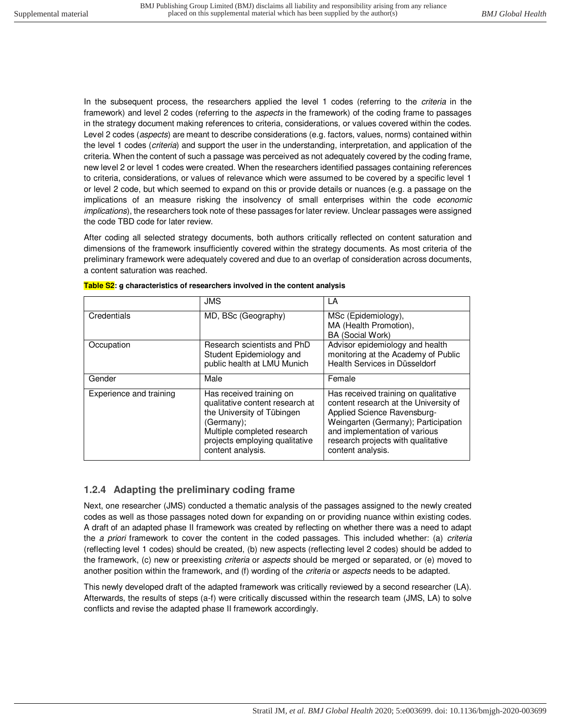In the subsequent process, the researchers applied the level 1 codes (referring to the *criteria* in the framework) and level 2 codes (referring to the *aspects* in the framework) of the coding frame to passages in the strategy document making references to criteria, considerations, or values covered within the codes. Level 2 codes (*aspects*) are meant to describe considerations (e.g. factors, values, norms) contained within the level 1 codes (*criteria*) and support the user in the understanding, interpretation, and application of the criteria. When the content of such a passage was perceived as not adequately covered by the coding frame, new level 2 or level 1 codes were created. When the researchers identified passages containing references to criteria, considerations, or values of relevance which were assumed to be covered by a specific level 1 or level 2 code, but which seemed to expand on this or provide details or nuances (e.g. a passage on the implications of an measure risking the insolvency of small enterprises within the code *economic implications*), the researchers took note of these passages for later review. Unclear passages were assigned the code TBD code for later review.

After coding all selected strategy documents, both authors critically reflected on content saturation and dimensions of the framework insufficiently covered within the strategy documents. As most criteria of the preliminary framework were adequately covered and due to an overlap of consideration across documents, a content saturation was reached.

|                         | <b>JMS</b>                                                                                                                                                                                    | LA                                                                                                                                                                                                                                              |
|-------------------------|-----------------------------------------------------------------------------------------------------------------------------------------------------------------------------------------------|-------------------------------------------------------------------------------------------------------------------------------------------------------------------------------------------------------------------------------------------------|
| Credentials             | MD, BSc (Geography)                                                                                                                                                                           | MSc (Epidemiology),<br>MA (Health Promotion),<br>BA (Social Work)                                                                                                                                                                               |
| Occupation              | Research scientists and PhD<br>Student Epidemiology and<br>public health at LMU Munich                                                                                                        | Advisor epidemiology and health<br>monitoring at the Academy of Public<br>Health Services in Düsseldorf                                                                                                                                         |
| Gender                  | Male                                                                                                                                                                                          | Female                                                                                                                                                                                                                                          |
| Experience and training | Has received training on<br>qualitative content research at<br>the University of Tübingen<br>(Germany);<br>Multiple completed research<br>projects employing qualitative<br>content analysis. | Has received training on qualitative<br>content research at the University of<br>Applied Science Ravensburg-<br>Weingarten (Germany); Participation<br>and implementation of various<br>research projects with qualitative<br>content analysis. |

**Table S2: g characteristics of researchers involved in the content analysis** 

#### **1.2.4 Adapting the preliminary coding frame**

Next, one researcher (JMS) conducted a thematic analysis of the passages assigned to the newly created codes as well as those passages noted down for expanding on or providing nuance within existing codes. A draft of an adapted phase II framework was created by reflecting on whether there was a need to adapt the *a priori* framework to cover the content in the coded passages. This included whether: (a) *criteria* (reflecting level 1 codes) should be created, (b) new aspects (reflecting level 2 codes) should be added to the framework, (c) new or preexisting *criteria* or *aspects* should be merged or separated, or (e) moved to another position within the framework, and (f) wording of the *criteria* or *aspects* needs to be adapted.

This newly developed draft of the adapted framework was critically reviewed by a second researcher (LA). Afterwards, the results of steps (a-f) were critically discussed within the research team (JMS, LA) to solve conflicts and revise the adapted phase II framework accordingly.